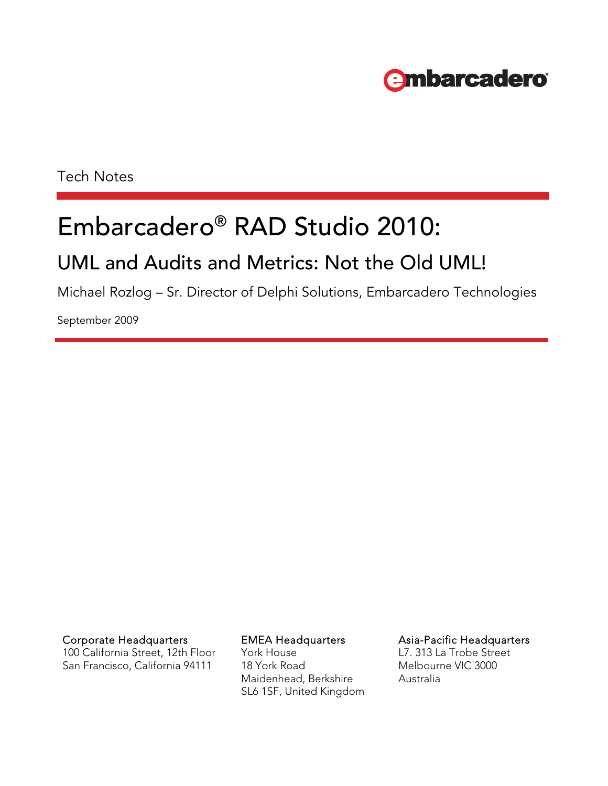# **embarcadero**

Tech Notes

# Embarcadero® RAD Studio 2010:

## UML and Audits and Metrics: Not the Old UML!

Michael Rozlog – Sr. Director of Delphi Solutions, Embarcadero Technologies

September 2009

Corporate Headquarters **EMEA Headquarters** Asia-Pacific Headquarters

100 California Street, 12th Floor San Francisco, California 94111

York House 18 York Road Maidenhead, Berkshire SL6 1SF, United Kingdom L7. 313 La Trobe Street Melbourne VIC 3000

Australia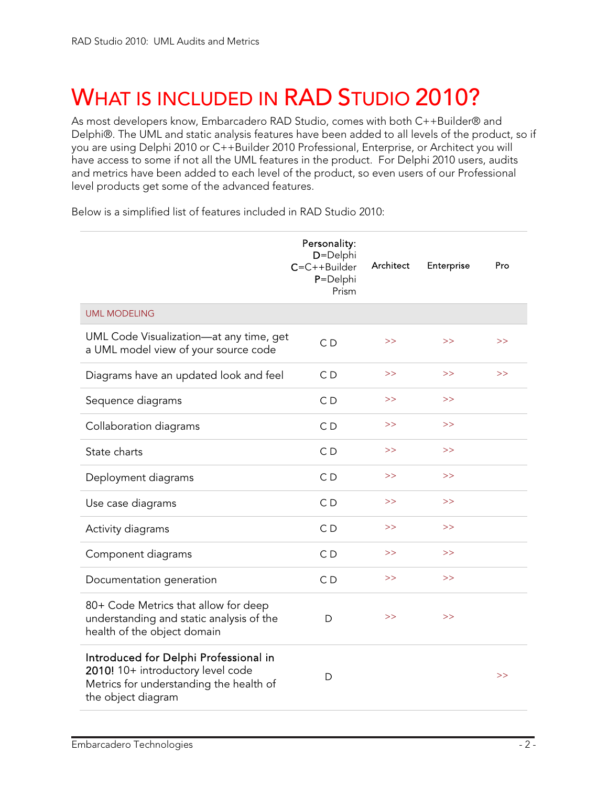# <span id="page-2-0"></span>WHAT IS INCLUDED IN RAD STUDIO 2010?

As most developers know, Embarcadero RAD Studio, comes with both C++Builder® and Delphi®. The UML and static analysis features have been added to all levels of the product, so if you are using Delphi 2010 or C++Builder 2010 Professional, Enterprise, or Architect you will have access to some if not all the UML features in the product. For Delphi 2010 users, audits and metrics have been added to each level of the product, so even users of our Professional level products get some of the advanced features.

Below is a simplified list of features included in RAD Studio 2010:

|                                                                                                                                             | Personality:<br>D=Delphi<br>$C=C++Builder$<br>P=Delphi<br>Prism | Architect | Enterprise | Pro |
|---------------------------------------------------------------------------------------------------------------------------------------------|-----------------------------------------------------------------|-----------|------------|-----|
| <b>UML MODELING</b>                                                                                                                         |                                                                 |           |            |     |
| UML Code Visualization-at any time, get<br>a UML model view of your source code                                                             | C <sub>D</sub>                                                  | >>        | >          | >   |
| Diagrams have an updated look and feel                                                                                                      | CD                                                              | >>        | $\gt$      | >   |
| Sequence diagrams                                                                                                                           | C <sub>D</sub>                                                  | >>        | >>         |     |
| Collaboration diagrams                                                                                                                      | CD                                                              | >>        | >          |     |
| State charts                                                                                                                                | C <sub>D</sub>                                                  | >>        | >>         |     |
| Deployment diagrams                                                                                                                         | C <sub>D</sub>                                                  | >>        | >>         |     |
| Use case diagrams                                                                                                                           | CD                                                              | >>        | >>         |     |
| Activity diagrams                                                                                                                           | CD                                                              | >>        | >>         |     |
| Component diagrams                                                                                                                          | CD                                                              | >>        | >          |     |
| Documentation generation                                                                                                                    | C <sub>D</sub>                                                  | >>        | >>         |     |
| 80+ Code Metrics that allow for deep<br>understanding and static analysis of the<br>health of the object domain                             | D                                                               | >         | >          |     |
| Introduced for Delphi Professional in<br>2010! 10+ introductory level code<br>Metrics for understanding the health of<br>the object diagram | D                                                               |           |            | >   |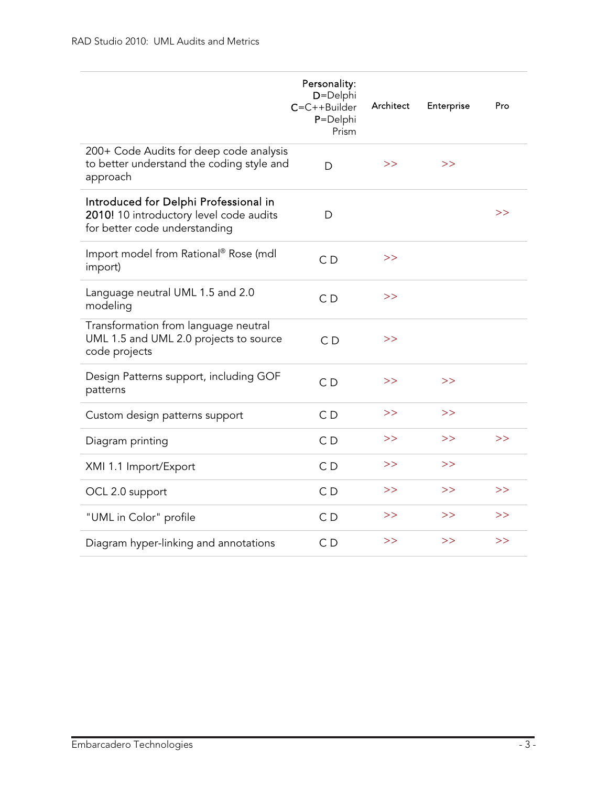|                                                                                                                   | Personality:<br>D=Delphi<br>$C=C++Builder$<br>P=Delphi<br>Prism | Architect | Enterprise | Pro |
|-------------------------------------------------------------------------------------------------------------------|-----------------------------------------------------------------|-----------|------------|-----|
| 200+ Code Audits for deep code analysis<br>to better understand the coding style and<br>approach                  | D                                                               | >>        | >          |     |
| Introduced for Delphi Professional in<br>2010! 10 introductory level code audits<br>for better code understanding | D                                                               |           |            | >>  |
| Import model from Rational® Rose (mdl<br>import)                                                                  | C <sub>D</sub>                                                  | >>        |            |     |
| Language neutral UML 1.5 and 2.0<br>modeling                                                                      | C <sub>D</sub>                                                  | >         |            |     |
| Transformation from language neutral<br>UML 1.5 and UML 2.0 projects to source<br>code projects                   | CD                                                              | >>        |            |     |
| Design Patterns support, including GOF<br>patterns                                                                | CD                                                              | >>        | >          |     |
| Custom design patterns support                                                                                    | C <sub>D</sub>                                                  | >>        | >>         |     |
| Diagram printing                                                                                                  | C <sub>D</sub>                                                  | >>        | >          | >>  |
| XMI 1.1 Import/Export                                                                                             | CD                                                              | >>        | >          |     |
| OCL 2.0 support                                                                                                   | C <sub>D</sub>                                                  | >>        | >          | >>  |
| "UML in Color" profile                                                                                            | C <sub>D</sub>                                                  | >>        | >>         | >>  |
| Diagram hyper-linking and annotations                                                                             | C <sub>D</sub>                                                  | >>        | >>         | >>  |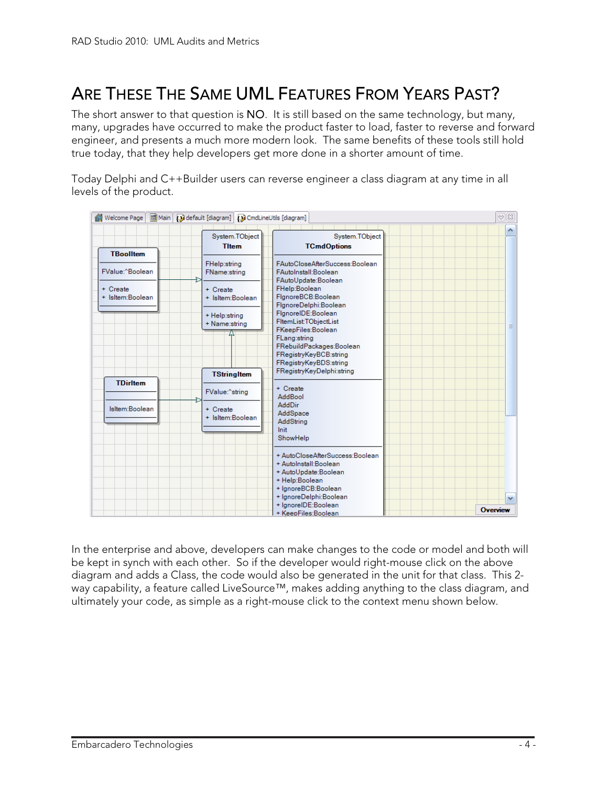## <span id="page-4-0"></span>ARE THESE THE SAME UML FEATURES FROM YEARS PAST?

The short answer to that question is NO. It is still based on the same technology, but many, many, upgrades have occurred to make the product faster to load, faster to reverse and forward engineer, and presents a much more modern look. The same benefits of these tools still hold true today, that they help developers get more done in a shorter amount of time.

Today Delphi and C++Builder users can reverse engineer a class diagram at any time in all levels of the product.

| d Welcome Page               | 固 Main Ddefault [diagram] DCmdLineUtils [diagram] |                                                                                      | $\infty$ $\boxtimes$ |
|------------------------------|---------------------------------------------------|--------------------------------------------------------------------------------------|----------------------|
|                              | System.TObject<br><b>Titem</b>                    | System.TObject<br><b>TCmdOptions</b>                                                 |                      |
| <b>TBoolltem</b>             |                                                   |                                                                                      |                      |
| FValue:^Boolean              | FHelp:string<br>FName:string                      | FAutoCloseAfterSuccess:Boolean<br><b>FAutoInstall:Boolean</b><br>FAutoUpdate:Boolean |                      |
| + Create<br>+ IsItem:Boolean | + Create<br>+ Isltem:Boolean                      | FHelp:Boolean<br>FlgnoreBCB:Boolean<br>FlgnoreDelphi:Boolean                         |                      |
|                              | + Help:string<br>+ Name:string                    | FignoreIDE:Boolean<br>FitemList:TObjectList<br>FKeepFiles:Boolean                    | $\equiv$             |
|                              |                                                   | FLang:string<br>FRebuildPackages:Boolean<br>FRegistryKeyBCB:string                   |                      |
|                              |                                                   | FRegistryKeyBDS:string                                                               |                      |
|                              | <b>TStringItem</b>                                | FRegistryKeyDelphi:string                                                            |                      |
| <b>TDirltem</b>              | FValue:^string                                    | + Create<br>AddBool                                                                  |                      |
| IsItem:Boolean               | $+$ Create                                        | <b>AddDir</b><br>AddSpace                                                            |                      |
|                              | + Isltem:Boolean                                  | AddString                                                                            |                      |
|                              |                                                   | Init                                                                                 |                      |
|                              |                                                   | ShowHelp                                                                             |                      |
|                              |                                                   | + AutoCloseAfterSuccess:Boolean                                                      |                      |
|                              |                                                   | + AutoInstall:Boolean                                                                |                      |
|                              |                                                   | + AutoUpdate:Boolean                                                                 |                      |
|                              |                                                   | + Help:Boolean                                                                       |                      |
|                              |                                                   | + IgnoreBCB:Boolean                                                                  |                      |
|                              |                                                   | + IgnoreDelphi:Boolean<br>+ IgnoreIDE:Boolean                                        | $\checkmark$         |
|                              |                                                   | + KeepFiles:Boolean                                                                  | Overview             |

In the enterprise and above, developers can make changes to the code or model and both will be kept in synch with each other. So if the developer would right-mouse click on the above diagram and adds a Class, the code would also be generated in the unit for that class. This 2 way capability, a feature called LiveSource™, makes adding anything to the class diagram, and ultimately your code, as simple as a right-mouse click to the context menu shown below.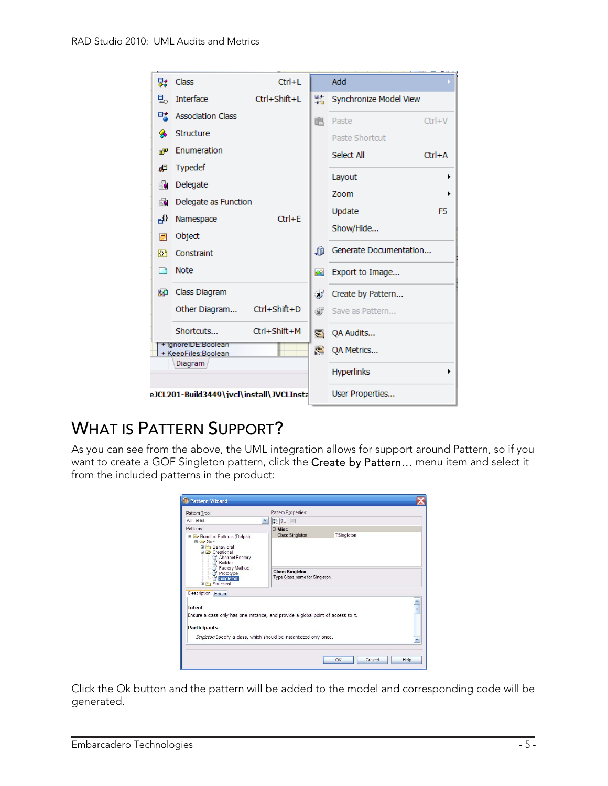<span id="page-5-0"></span>

| 繴              | Class                                      | $Ctrl + L$                                                                                                                                                                                                           |     | Add               |            |
|----------------|--------------------------------------------|----------------------------------------------------------------------------------------------------------------------------------------------------------------------------------------------------------------------|-----|-------------------|------------|
| 빓              | Interface                                  | Ctrl+Shift+L                                                                                                                                                                                                         |     |                   |            |
| 畦              | <b>Association Class</b>                   | $Ctrl + E$                                                                                                                                                                                                           | r.  | Paste             | $Ctrl + V$ |
| ◈              | <b>Structure</b>                           |                                                                                                                                                                                                                      |     | Paste Shortcut    |            |
| æ              | Enumeration                                |                                                                                                                                                                                                                      |     | Select All        | $Ctrl + A$ |
| Æ              | <b>Typedef</b>                             | Ctrl+Shift+D<br>Ctrl+Shift+M                                                                                                                                                                                         |     |                   |            |
| É.             | Delegate                                   |                                                                                                                                                                                                                      |     |                   |            |
| É.             | Delegate as Function                       |                                                                                                                                                                                                                      |     |                   |            |
| ∯ி             | Namespace                                  |                                                                                                                                                                                                                      |     |                   |            |
| Ø              | Object                                     |                                                                                                                                                                                                                      |     | Show/Hide         |            |
| 0 <sup>1</sup> | Constraint                                 |                                                                                                                                                                                                                      | JÙ. |                   |            |
| ٦              | <b>Note</b>                                |                                                                                                                                                                                                                      | юV  | Export to Image   |            |
| 駟              | Class Diagram                              |                                                                                                                                                                                                                      | ď   | Create by Pattern |            |
|                | Other Diagram                              |                                                                                                                                                                                                                      | Œ   | Save as Pattern   |            |
|                | Shortcuts                                  |                                                                                                                                                                                                                      | ङ   | QA Audits         |            |
|                | + IgnoreIDE:Boolean<br>+ KeepFiles:Boolean | Synchronize Model View<br>Layout<br>٠<br>Zoom<br>٠<br>Update<br>F <sub>5</sub><br>Generate Documentation<br>€<br>QA Metrics<br><b>Hyperlinks</b><br>▶<br>User Properties<br>eJCL201-Build3449\ivcl\install\JVCLInsta |     |                   |            |
|                | Diagram                                    |                                                                                                                                                                                                                      |     |                   |            |
|                |                                            |                                                                                                                                                                                                                      |     |                   |            |

## WHAT IS PATTERN SUPPORT?

As you can see from the above, the UML integration allows for support around Pattern, so if you want to create a GOF Singleton pattern, click the Create by Pattern... menu item and select it from the included patterns in the product:

| <b>Pattern Wizard</b>                                                                              |                                                                                                                                                                                                                                                                                                                                                                                                                                                    |  |
|----------------------------------------------------------------------------------------------------|----------------------------------------------------------------------------------------------------------------------------------------------------------------------------------------------------------------------------------------------------------------------------------------------------------------------------------------------------------------------------------------------------------------------------------------------------|--|
|                                                                                                    | Pattern Properties:<br>3121<br>v<br>$\boxminus$ Misc<br>TSingleton<br><b>Class Singleton</b><br>Abstract Factory<br>Builder<br><b>Factory Method</b><br><b>Class Singleton</b><br>Prototype<br>Type Class name for Singleton<br>Singleton<br>$\frac{1}{2}$<br>Ensure a class only has one instance, and provide a global point of access to it.<br>Singleton Specify a class, which should be instantiated only once.<br>v<br>OK<br>Cancel<br>Help |  |
| All Trees                                                                                          |                                                                                                                                                                                                                                                                                                                                                                                                                                                    |  |
|                                                                                                    |                                                                                                                                                                                                                                                                                                                                                                                                                                                    |  |
| Bundled Patterns (Delphi)<br><b>BIZ</b> GoF<br><b>E</b> P Behavioral<br><b>E</b> <i>Creational</i> |                                                                                                                                                                                                                                                                                                                                                                                                                                                    |  |
| <b>E-F</b> Structural                                                                              |                                                                                                                                                                                                                                                                                                                                                                                                                                                    |  |
| Description <b>Errors</b>                                                                          |                                                                                                                                                                                                                                                                                                                                                                                                                                                    |  |
| <b>Intent</b>                                                                                      |                                                                                                                                                                                                                                                                                                                                                                                                                                                    |  |
| Pattern Tree:<br>Patterns:<br><b>Participants</b>                                                  |                                                                                                                                                                                                                                                                                                                                                                                                                                                    |  |
|                                                                                                    |                                                                                                                                                                                                                                                                                                                                                                                                                                                    |  |
|                                                                                                    |                                                                                                                                                                                                                                                                                                                                                                                                                                                    |  |

Click the Ok button and the pattern will be added to the model and corresponding code will be generated.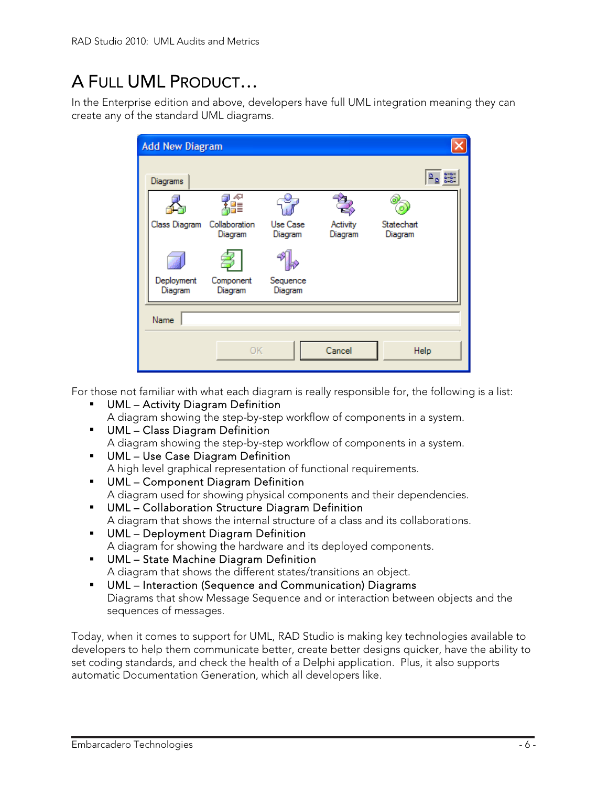## <span id="page-6-0"></span>A FULL UML PRODUCT…

In the Enterprise edition and above, developers have full UML integration meaning they can create any of the standard UML diagrams.

| <b>Add New Diagram</b> |                          |                     |                     |                       |                     |
|------------------------|--------------------------|---------------------|---------------------|-----------------------|---------------------|
| Diagrams               |                          |                     |                     |                       | 0-0-<br>0-0<br>0-0- |
|                        |                          |                     |                     |                       |                     |
| Class Diagram          | Collaboration<br>Diagram | Use Case<br>Diagram | Activity<br>Diagram | Statechart<br>Diagram |                     |
|                        |                          |                     |                     |                       |                     |
| Deployment<br>Diagram  | Component<br>Diagram     | Sequence<br>Diagram |                     |                       |                     |
| Name                   |                          |                     |                     |                       |                     |
|                        | <b>OK</b>                |                     | Cancel              |                       | Help                |

For those not familiar with what each diagram is really responsible for, the following is a list:

- UML Activity Diagram Definition A diagram showing the step-by-step workflow of components in a system.
- UML Class Diagram Definition A diagram showing the step-by-step workflow of components in a system.
- UML Use Case Diagram Definition A high level graphical representation of functional requirements.
- UML Component Diagram Definition A diagram used for showing physical components and their dependencies.
- UML Collaboration Structure Diagram Definition A diagram that shows the internal structure of a class and its collaborations.
- UML Deployment Diagram Definition A diagram for showing the hardware and its deployed components.
- UML State Machine Diagram Definition A diagram that shows the different states/transitions an object.
- UML Interaction (Sequence and Communication) Diagrams Diagrams that show Message Sequence and or interaction between objects and the sequences of messages.

Today, when it comes to support for UML, RAD Studio is making key technologies available to developers to help them communicate better, create better designs quicker, have the ability to set coding standards, and check the health of a Delphi application. Plus, it also supports automatic Documentation Generation, which all developers like.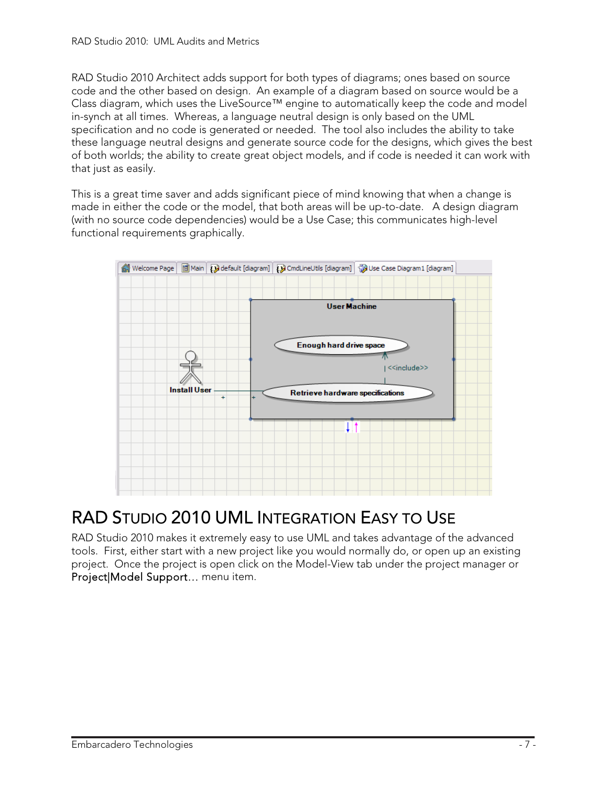<span id="page-7-0"></span>RAD Studio 2010 Architect adds support for both types of diagrams; ones based on source code and the other based on design. An example of a diagram based on source would be a Class diagram, which uses the LiveSource™ engine to automatically keep the code and model in-synch at all times. Whereas, a language neutral design is only based on the UML specification and no code is generated or needed. The tool also includes the ability to take these language neutral designs and generate source code for the designs, which gives the best of both worlds; the ability to create great object models, and if code is needed it can work with that just as easily.

This is a great time saver and adds significant piece of mind knowing that when a change is made in either the code or the model, that both areas will be up-to-date. A design diagram (with no source code dependencies) would be a Use Case; this communicates high-level functional requirements graphically.



### RAD STUDIO 2010 UML INTEGRATION EASY TO USE

RAD Studio 2010 makes it extremely easy to use UML and takes advantage of the advanced tools. First, either start with a new project like you would normally do, or open up an existing project. Once the project is open click on the Model-View tab under the project manager or Project|Model Support… menu item.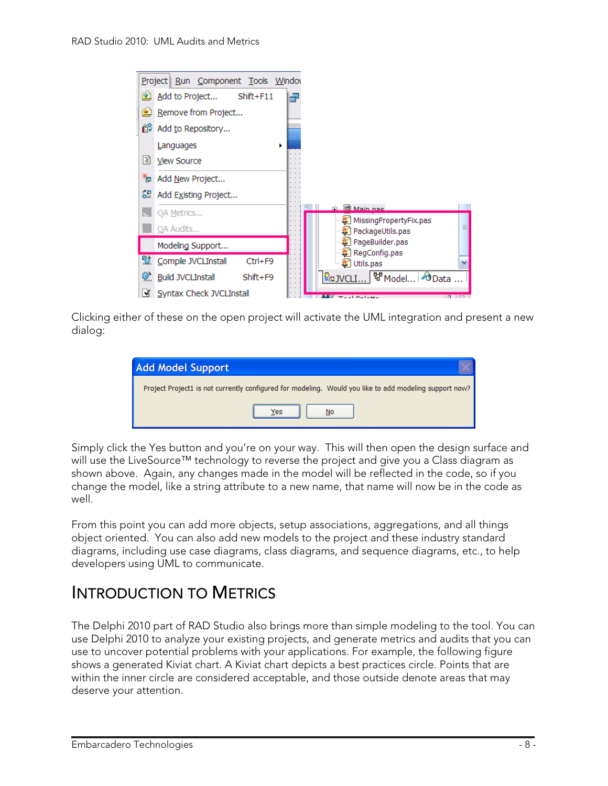<span id="page-8-0"></span>

Clicking either of these on the open project will activate the UML integration and present a new dialog:

| <b>Add Model Support</b>                                                                               |
|--------------------------------------------------------------------------------------------------------|
| Project Project1 is not currently configured for modeling. Would you like to add modeling support now? |
| Yes                                                                                                    |

Simply click the Yes button and you're on your way. This will then open the design surface and will use the LiveSource™ technology to reverse the project and give you a Class diagram as shown above. Again, any changes made in the model will be reflected in the code, so if you change the model, like a string attribute to a new name, that name will now be in the code as well.

From this point you can add more objects, setup associations, aggregations, and all things object oriented. You can also add new models to the project and these industry standard diagrams, including use case diagrams, class diagrams, and sequence diagrams, etc., to help developers using UML to communicate.

### INTRODUCTION TO METRICS

The Delphi 2010 part of RAD Studio also brings more than simple modeling to the tool. You can use Delphi 2010 to analyze your existing projects, and generate metrics and audits that you can use to uncover potential problems with your applications. For example, the following figure shows a generated Kiviat chart. A Kiviat chart depicts a best practices circle. Points that are within the inner circle are considered acceptable, and those outside denote areas that may deserve your attention.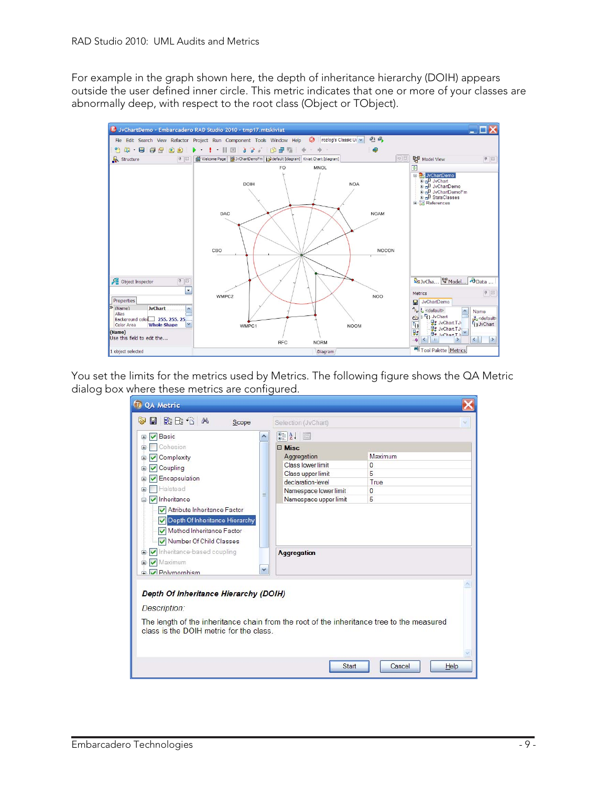For example in the graph shown here, the depth of inheritance hierarchy (DOIH) appears outside the user defined inner circle. This metric indicates that one or more of your classes are abnormally deep, with respect to the root class (Object or TObject).



You set the limits for the metrics used by Metrics. The following figure shows the QA Metric dialog box where these metrics are configured.

| 2 出口 M<br>團<br>$\frac{1}{2}$<br>Scope                                                                                                                                                                                                               | 人            | Selection (JvChart)                                                                                                                                       |                                            |
|-----------------------------------------------------------------------------------------------------------------------------------------------------------------------------------------------------------------------------------------------------|--------------|-----------------------------------------------------------------------------------------------------------------------------------------------------------|--------------------------------------------|
| <b>▽</b> Basic<br>Đ<br>Cohesion<br>Œ<br>Complexity<br>田<br>Coupling<br>田<br>Encapsulation<br>Halstead<br>Œ<br>inheritance<br>Attribute Inheritance Factor<br>Depth Of Inheritance Hierarchy<br>Method Inheritance Factor<br>Number Of Child Classes | 亖            | 912 国<br>$\boxminus$ Misc<br>Aggregation<br>Class lower limit<br>Class upper limit<br>declaration-level<br>Namespace lower limit<br>Namespace upper limit | Maximum<br>0<br>5<br>True<br>$\Omega$<br>5 |
| Inheritance-based coupling<br>È<br>Maximum<br>÷.<br><b>Polymorphism</b>                                                                                                                                                                             | $\checkmark$ | <b>Aggregation</b>                                                                                                                                        |                                            |
| Depth Of Inheritance Hierarchy (DOIH)<br>Description:                                                                                                                                                                                               |              |                                                                                                                                                           |                                            |
| The length of the inheritance chain from the root of the inheritance tree to the measured<br>class is the DOIH metric for the class.                                                                                                                |              |                                                                                                                                                           |                                            |
|                                                                                                                                                                                                                                                     |              | Start                                                                                                                                                     | Cancel<br>Help                             |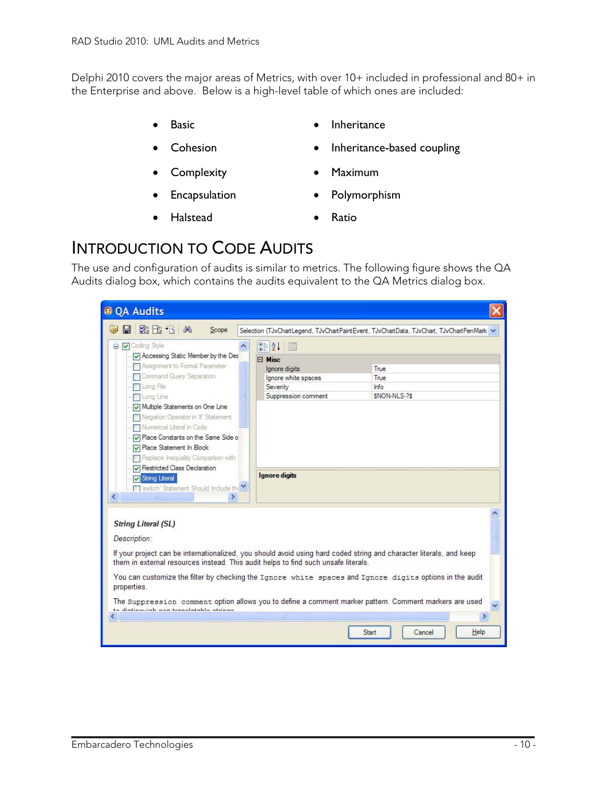<span id="page-10-0"></span>Delphi 2010 covers the major areas of Metrics, with over 10+ included in professional and 80+ in the Enterprise and above. Below is a high-level table of which ones are included:

- Basic **•** Inheritance
- 
- Complexity Maximum
	-
- 
- Cohesion Inheritance-based coupling
	-
- **Encapsulation** Polymorphism
- Halstead Ratio
- 

#### INTRODUCTION TO CODE AUDITS

The use and configuration of audits is similar to metrics. The following figure shows the QA Audits dialog box, which contains the audits equivalent to the QA Metrics dialog box.

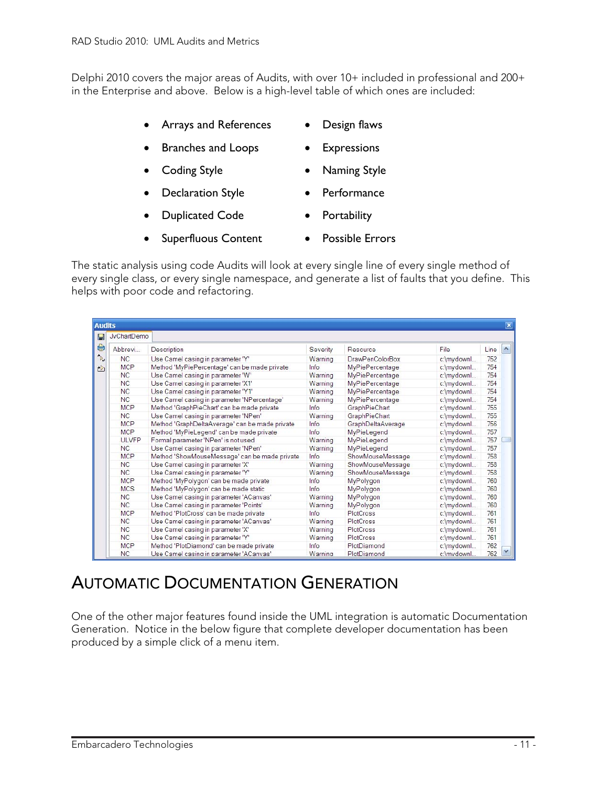<span id="page-11-0"></span>Delphi 2010 covers the major areas of Audits, with over 10+ included in professional and 200+ in the Enterprise and above. Below is a high-level table of which ones are included:

- Arrays and References Design flaws
- Branches and Loops Expressions
- Coding Style Naming Style
- **Declaration Style Performance**
- **Duplicated Code Portability** 
	-

The static analysis using code Audits will look at every single line of every single method of every single class, or every single namespace, and generate a list of faults that you define. This helps with poor code and refactoring.

| <b>JvChartDemo</b> |                                                |          |                        |            |      |
|--------------------|------------------------------------------------|----------|------------------------|------------|------|
| Abbrevi            | Description                                    | Severity | Resource               | File       | Line |
| NC                 | Use Camel casing in parameter 'Y'              | Warning  | <b>DrawPenColorBox</b> | c:\mydownl | 752  |
| <b>MCP</b>         | Method 'MyPiePercentage' can be made private   | Info     | <b>MyPiePercentage</b> | c:\mydownl | 754  |
| <b>NC</b>          | Use Camel casing in parameter 'W'              | Warning  | MyPiePercentage        | c:\mydownl | 754  |
| <b>NC</b>          | Use Camel casing in parameter 'X1'             | Warning  | <b>MyPiePercentage</b> | c:\mydownl | 754  |
| <b>NC</b>          | Use Camel casing in parameter 'Y1'             | Warning  | MyPiePercentage        | c:\mydownl | 754  |
| <b>NC</b>          | Use Camel casing in parameter 'NPercentage'    | Warning  | <b>MyPiePercentage</b> | c:\mydownl | 754  |
| <b>MCP</b>         | Method 'GraphPieChart' can be made private     | Info     | GraphPieChart          | c:\mydownl | 755  |
| NC                 | Use Camel casing in parameter 'NPen'           | Warning  | GraphPieChart          | c:\mydownl | 755  |
| <b>MCP</b>         | Method 'GraphDeltaAverage' can be made private | Info     | GraphDeltaAverage      | c:\mydownl | 756  |
| <b>MCP</b>         | Method 'MyPieLegend' can be made private       | Info     | MyPieLegend            | c:\mydownl | 757  |
| <b>ULVFP</b>       | Formal parameter 'NPen' is not used            | Warning  | MyPieLegend            | c:\mydownl | 757  |
| <b>NC</b>          | Use Camel casing in parameter 'NPen'           | Warning  | MyPieLegend            | c:\mydownl | 757  |
| <b>MCP</b>         | Method 'ShowMouseMessage' can be made private  | Info     | ShowMouseMessage       | c:\mydownl | 758  |
| NC                 | Use Camel casing in parameter 'X'              | Warning  | ShowMouseMessage       | c:\mydownl | 758  |
| NC                 | Use Camel casing in parameter 'Y'              | Warning  | ShowMouseMessage       | c:\mydownl | 758  |
| <b>MCP</b>         | Method 'MyPolygon' can be made private         | Info     | MyPolygon              | c:\mydownl | 760  |
| <b>MCS</b>         | Method 'MyPolygon' can be made static          | Info     | MyPolygon              | c:\mydownl | 760  |
| NC                 | Use Camel casing in parameter 'ACanvas'        | Warning  | MyPolygon              | c:\mydownl | 760  |
| NC                 | Use Camel casing in parameter 'Points'         | Warning  | MyPolygon              | c:\mydownl | 760  |
| <b>MCP</b>         | Method 'PlotCross' can be made private         | Info     | PlotCross              | c:\mydownl | 761  |
| NC                 | Use Camel casing in parameter 'ACanvas'        | Warning  | PlotCross              | c:\mydownl | 761  |
| <b>NC</b>          | Use Camel casing in parameter 'X'              | Warning  | PlotCross              | c:\mydownl | 761  |
| NC                 | Use Camel casing in parameter 'Y'              | Warning  | PlotCross              | c:\mydownl | 761  |
| <b>MCP</b>         | Method 'PlotDiamond' can be made private       | Info     | PlotDiamond            | c:\mydownl | 762  |
| <b>NC</b>          | Use Camel casing in parameter 'ACanvas'        | Warning  | PlotDiamond            | c:\mvdownl | 762  |

### AUTOMATIC DOCUMENTATION GENERATION

One of the other major features found inside the UML integration is automatic Documentation Generation. Notice in the below figure that complete developer documentation has been produced by a simple click of a menu item.

- 
- 
- 
- 
- Superfluous Content Possible Errors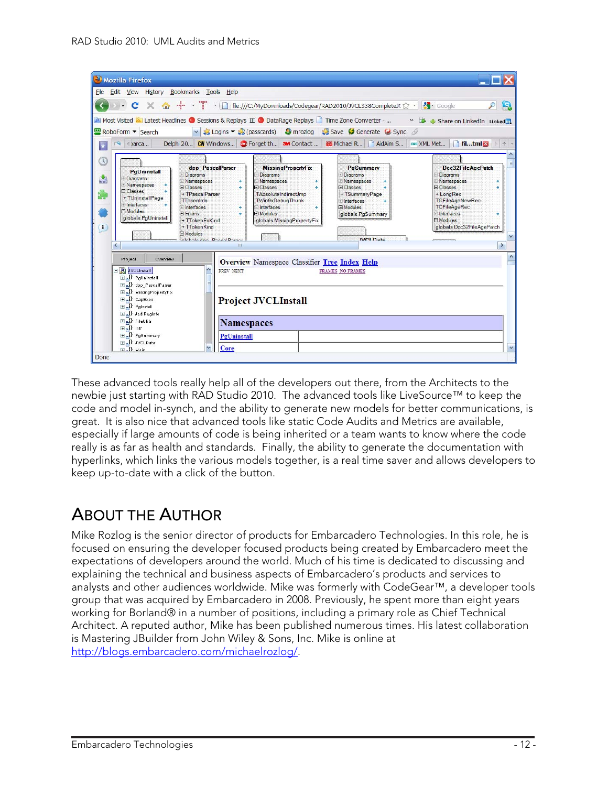<span id="page-12-0"></span>

These advanced tools really help all of the developers out there, from the Architects to the newbie just starting with RAD Studio 2010. The advanced tools like LiveSource™ to keep the code and model in-synch, and the ability to generate new models for better communications, is great. It is also nice that advanced tools like static Code Audits and Metrics are available, especially if large amounts of code is being inherited or a team wants to know where the code really is as far as health and standards. Finally, the ability to generate the documentation with hyperlinks, which links the various models together, is a real time saver and allows developers to keep up-to-date with a click of the button.

#### ABOUT THE AUTHOR

Mike Rozlog is the senior director of products for Embarcadero Technologies. In this role, he is focused on ensuring the developer focused products being created by Embarcadero meet the expectations of developers around the world. Much of his time is dedicated to discussing and explaining the technical and business aspects of Embarcadero's products and services to analysts and other audiences worldwide. Mike was formerly with CodeGear™, a developer tools group that was acquired by Embarcadero in 2008. Previously, he spent more than eight years working for Borland® in a number of positions, including a primary role as Chief Technical Architect. A reputed author, Mike has been published numerous times. His latest collaboration is Mastering JBuilder from John Wiley & Sons, Inc. Mike is online at [http://blogs.embarcadero.com/michaelrozlog/.](http://blogs.embarcadero.com/michaelrozlog/)